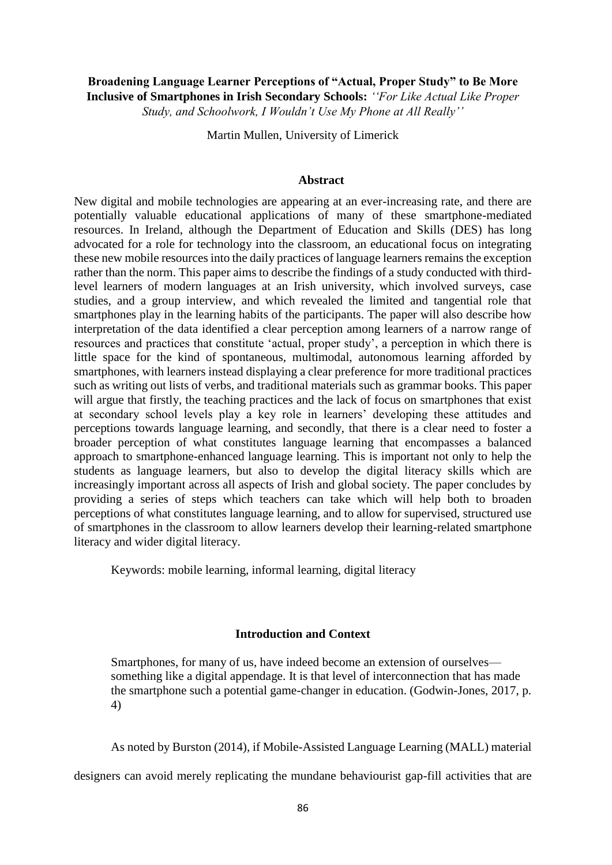# **Broadening Language Learner Perceptions of "Actual, Proper Study" to Be More Inclusive of Smartphones in Irish Secondary Schools:** *''For Like Actual Like Proper Study, and Schoolwork, I Wouldn't Use My Phone at All Really''*

Martin Mullen, University of Limerick

#### **Abstract**

New digital and mobile technologies are appearing at an ever-increasing rate, and there are potentially valuable educational applications of many of these smartphone-mediated resources. In Ireland, although the Department of Education and Skills (DES) has long advocated for a role for technology into the classroom, an educational focus on integrating these new mobile resources into the daily practices of language learners remains the exception rather than the norm. This paper aims to describe the findings of a study conducted with thirdlevel learners of modern languages at an Irish university, which involved surveys, case studies, and a group interview, and which revealed the limited and tangential role that smartphones play in the learning habits of the participants. The paper will also describe how interpretation of the data identified a clear perception among learners of a narrow range of resources and practices that constitute 'actual, proper study', a perception in which there is little space for the kind of spontaneous, multimodal, autonomous learning afforded by smartphones, with learners instead displaying a clear preference for more traditional practices such as writing out lists of verbs, and traditional materials such as grammar books. This paper will argue that firstly, the teaching practices and the lack of focus on smartphones that exist at secondary school levels play a key role in learners' developing these attitudes and perceptions towards language learning, and secondly, that there is a clear need to foster a broader perception of what constitutes language learning that encompasses a balanced approach to smartphone-enhanced language learning. This is important not only to help the students as language learners, but also to develop the digital literacy skills which are increasingly important across all aspects of Irish and global society. The paper concludes by providing a series of steps which teachers can take which will help both to broaden perceptions of what constitutes language learning, and to allow for supervised, structured use of smartphones in the classroom to allow learners develop their learning-related smartphone literacy and wider digital literacy.

Keywords: mobile learning, informal learning, digital literacy

#### **Introduction and Context**

Smartphones, for many of us, have indeed become an extension of ourselves something like a digital appendage. It is that level of interconnection that has made the smartphone such a potential game-changer in education. (Godwin-Jones, 2017, p. 4)

As noted by Burston (2014), if Mobile-Assisted Language Learning (MALL) material

designers can avoid merely replicating the mundane behaviourist gap-fill activities that are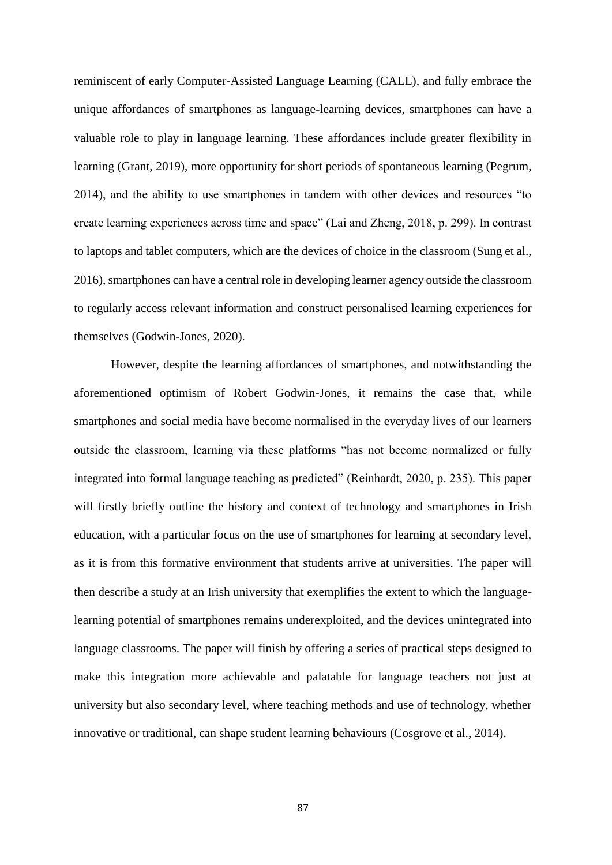reminiscent of early Computer-Assisted Language Learning (CALL), and fully embrace the unique affordances of smartphones as language-learning devices, smartphones can have a valuable role to play in language learning. These affordances include greater flexibility in learning (Grant, 2019), more opportunity for short periods of spontaneous learning (Pegrum, 2014), and the ability to use smartphones in tandem with other devices and resources "to create learning experiences across time and space" (Lai and Zheng, 2018, p. 299). In contrast to laptops and tablet computers, which are the devices of choice in the classroom (Sung et al., 2016), smartphones can have a central role in developing learner agency outside the classroom to regularly access relevant information and construct personalised learning experiences for themselves (Godwin-Jones, 2020).

However, despite the learning affordances of smartphones, and notwithstanding the aforementioned optimism of Robert Godwin-Jones, it remains the case that, while smartphones and social media have become normalised in the everyday lives of our learners outside the classroom, learning via these platforms "has not become normalized or fully integrated into formal language teaching as predicted" (Reinhardt, 2020, p. 235). This paper will firstly briefly outline the history and context of technology and smartphones in Irish education, with a particular focus on the use of smartphones for learning at secondary level, as it is from this formative environment that students arrive at universities. The paper will then describe a study at an Irish university that exemplifies the extent to which the languagelearning potential of smartphones remains underexploited, and the devices unintegrated into language classrooms. The paper will finish by offering a series of practical steps designed to make this integration more achievable and palatable for language teachers not just at university but also secondary level, where teaching methods and use of technology, whether innovative or traditional, can shape student learning behaviours (Cosgrove et al., 2014).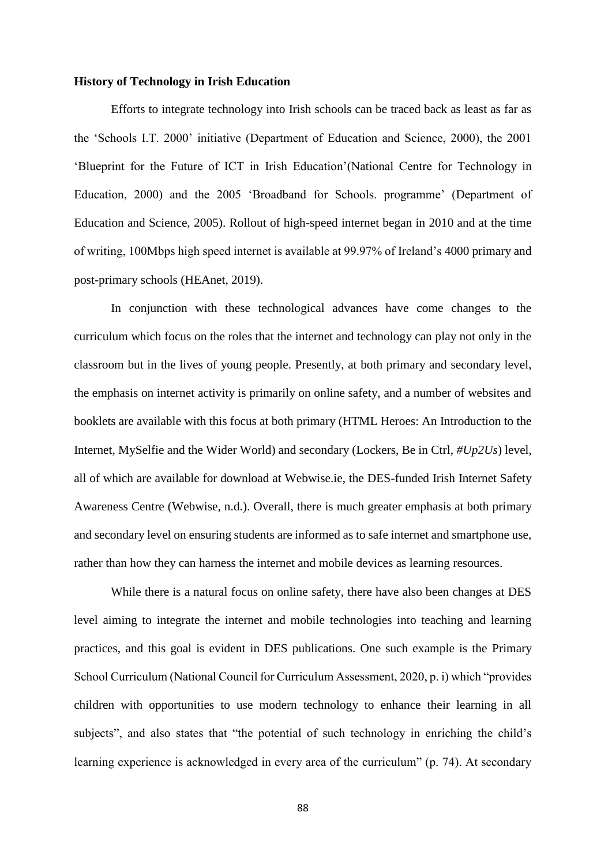#### **History of Technology in Irish Education**

Efforts to integrate technology into Irish schools can be traced back as least as far as the 'Schools I.T. 2000' initiative (Department of Education and Science, 2000), the 2001 'Blueprint for the Future of ICT in Irish Education'(National Centre for Technology in Education, 2000) and the 2005 'Broadband for Schools. programme' (Department of Education and Science, 2005). Rollout of high-speed internet began in 2010 and at the time of writing, 100Mbps high speed internet is available at 99.97% of Ireland's 4000 primary and post-primary schools (HEAnet, 2019).

In conjunction with these technological advances have come changes to the curriculum which focus on the roles that the internet and technology can play not only in the classroom but in the lives of young people. Presently, at both primary and secondary level, the emphasis on internet activity is primarily on online safety, and a number of websites and booklets are available with this focus at both primary (HTML Heroes: An Introduction to the Internet, MySelfie and the Wider World) and secondary (Lockers, Be in Ctrl, *#Up2Us*) level, all of which are available for download at Webwise.ie, the DES-funded Irish Internet Safety Awareness Centre (Webwise, n.d.). Overall, there is much greater emphasis at both primary and secondary level on ensuring students are informed as to safe internet and smartphone use, rather than how they can harness the internet and mobile devices as learning resources.

While there is a natural focus on online safety, there have also been changes at DES level aiming to integrate the internet and mobile technologies into teaching and learning practices, and this goal is evident in DES publications. One such example is the Primary School Curriculum (National Council for Curriculum Assessment, 2020, p. i) which "provides children with opportunities to use modern technology to enhance their learning in all subjects", and also states that "the potential of such technology in enriching the child's learning experience is acknowledged in every area of the curriculum" (p. 74). At secondary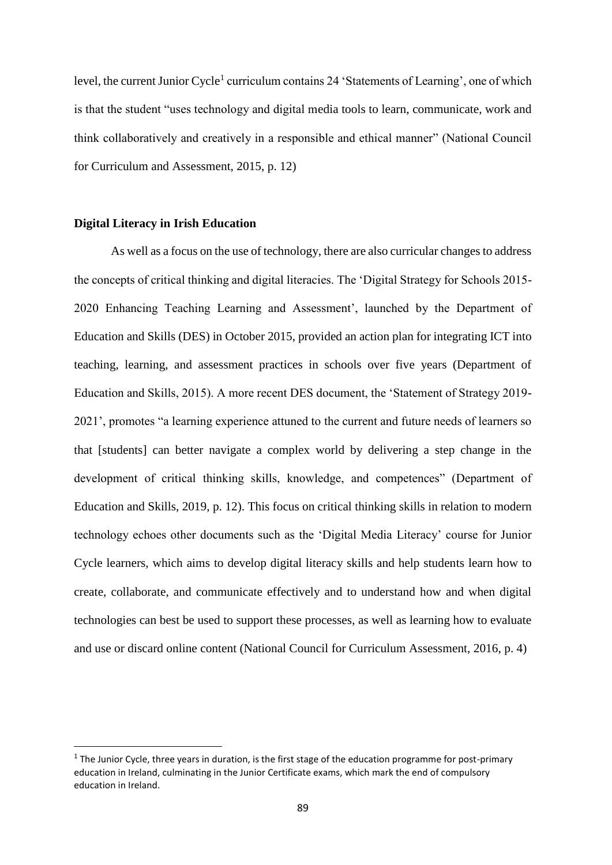level, the current Junior Cycle<sup>1</sup> curriculum contains 24 'Statements of Learning', one of which is that the student "uses technology and digital media tools to learn, communicate, work and think collaboratively and creatively in a responsible and ethical manner" (National Council for Curriculum and Assessment, 2015, p. 12)

#### **Digital Literacy in Irish Education**

**.** 

As well as a focus on the use of technology, there are also curricular changes to address the concepts of critical thinking and digital literacies. The 'Digital Strategy for Schools 2015- 2020 Enhancing Teaching Learning and Assessment', launched by the Department of Education and Skills (DES) in October 2015, provided an action plan for integrating ICT into teaching, learning, and assessment practices in schools over five years (Department of Education and Skills, 2015). A more recent DES document, the 'Statement of Strategy 2019- 2021', promotes "a learning experience attuned to the current and future needs of learners so that [students] can better navigate a complex world by delivering a step change in the development of critical thinking skills, knowledge, and competences" (Department of Education and Skills, 2019, p. 12). This focus on critical thinking skills in relation to modern technology echoes other documents such as the 'Digital Media Literacy' course for Junior Cycle learners, which aims to develop digital literacy skills and help students learn how to create, collaborate, and communicate effectively and to understand how and when digital technologies can best be used to support these processes, as well as learning how to evaluate and use or discard online content (National Council for Curriculum Assessment, 2016, p. 4)

 $1$  The Junior Cycle, three years in duration, is the first stage of the education programme for post-primary education in Ireland, culminating in the Junior Certificate exams, which mark the end of compulsory education in Ireland.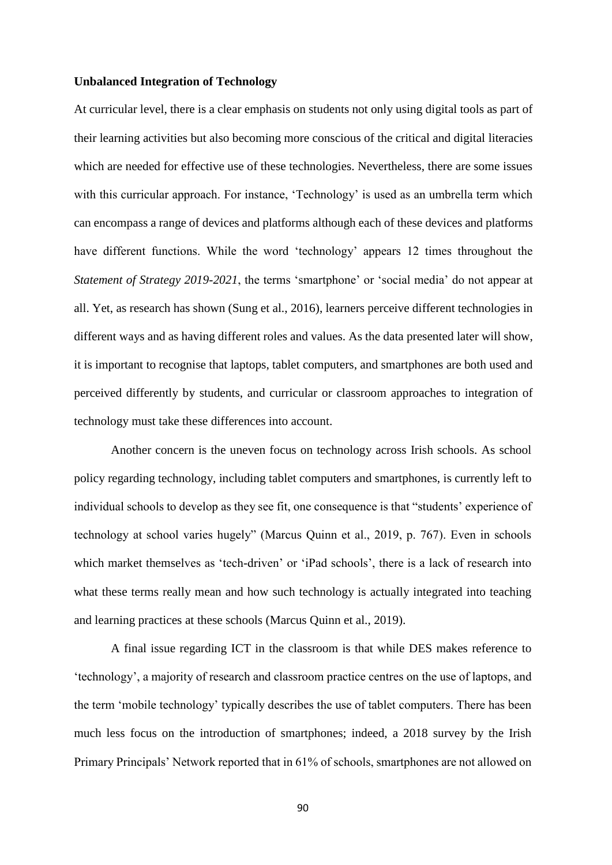#### **Unbalanced Integration of Technology**

At curricular level, there is a clear emphasis on students not only using digital tools as part of their learning activities but also becoming more conscious of the critical and digital literacies which are needed for effective use of these technologies. Nevertheless, there are some issues with this curricular approach. For instance, 'Technology' is used as an umbrella term which can encompass a range of devices and platforms although each of these devices and platforms have different functions. While the word 'technology' appears 12 times throughout the *Statement of Strategy 2019-2021*, the terms 'smartphone' or 'social media' do not appear at all. Yet, as research has shown (Sung et al., 2016), learners perceive different technologies in different ways and as having different roles and values. As the data presented later will show, it is important to recognise that laptops, tablet computers, and smartphones are both used and perceived differently by students, and curricular or classroom approaches to integration of technology must take these differences into account.

Another concern is the uneven focus on technology across Irish schools. As school policy regarding technology, including tablet computers and smartphones, is currently left to individual schools to develop as they see fit, one consequence is that "students' experience of technology at school varies hugely" (Marcus Quinn et al., 2019, p. 767). Even in schools which market themselves as 'tech-driven' or 'iPad schools', there is a lack of research into what these terms really mean and how such technology is actually integrated into teaching and learning practices at these schools (Marcus Quinn et al., 2019).

A final issue regarding ICT in the classroom is that while DES makes reference to 'technology', a majority of research and classroom practice centres on the use of laptops, and the term 'mobile technology' typically describes the use of tablet computers. There has been much less focus on the introduction of smartphones; indeed, a 2018 survey by the Irish Primary Principals' Network reported that in 61% of schools, smartphones are not allowed on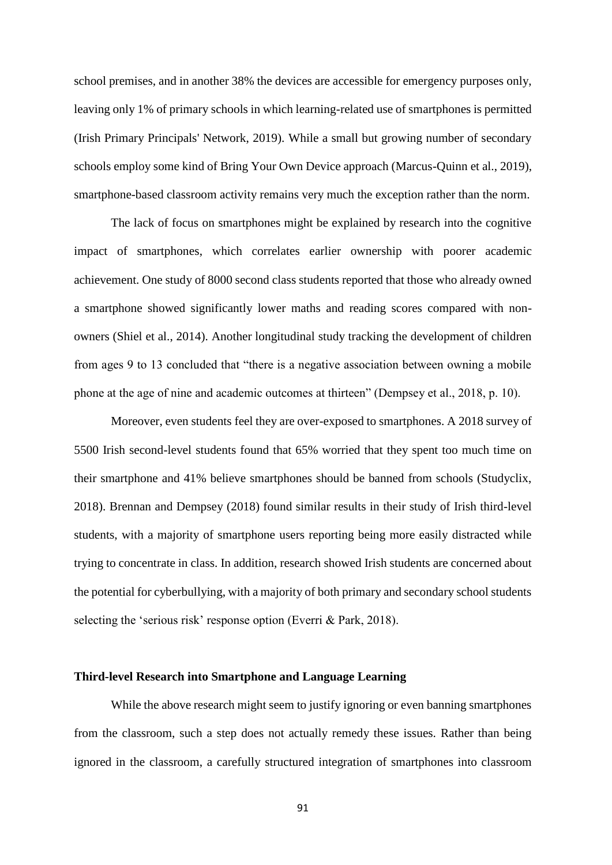school premises, and in another 38% the devices are accessible for emergency purposes only, leaving only 1% of primary schools in which learning-related use of smartphones is permitted (Irish Primary Principals' Network, 2019). While a small but growing number of secondary schools employ some kind of Bring Your Own Device approach (Marcus-Quinn et al., 2019), smartphone-based classroom activity remains very much the exception rather than the norm.

The lack of focus on smartphones might be explained by research into the cognitive impact of smartphones, which correlates earlier ownership with poorer academic achievement. One study of 8000 second class students reported that those who already owned a smartphone showed significantly lower maths and reading scores compared with nonowners (Shiel et al., 2014). Another longitudinal study tracking the development of children from ages 9 to 13 concluded that "there is a negative association between owning a mobile phone at the age of nine and academic outcomes at thirteen" (Dempsey et al., 2018, p. 10).

Moreover, even students feel they are over-exposed to smartphones. A 2018 survey of 5500 Irish second-level students found that 65% worried that they spent too much time on their smartphone and 41% believe smartphones should be banned from schools (Studyclix, 2018). Brennan and Dempsey (2018) found similar results in their study of Irish third-level students, with a majority of smartphone users reporting being more easily distracted while trying to concentrate in class. In addition, research showed Irish students are concerned about the potential for cyberbullying, with a majority of both primary and secondary school students selecting the 'serious risk' response option (Everri & Park, 2018).

#### **Third-level Research into Smartphone and Language Learning**

While the above research might seem to justify ignoring or even banning smartphones from the classroom, such a step does not actually remedy these issues. Rather than being ignored in the classroom, a carefully structured integration of smartphones into classroom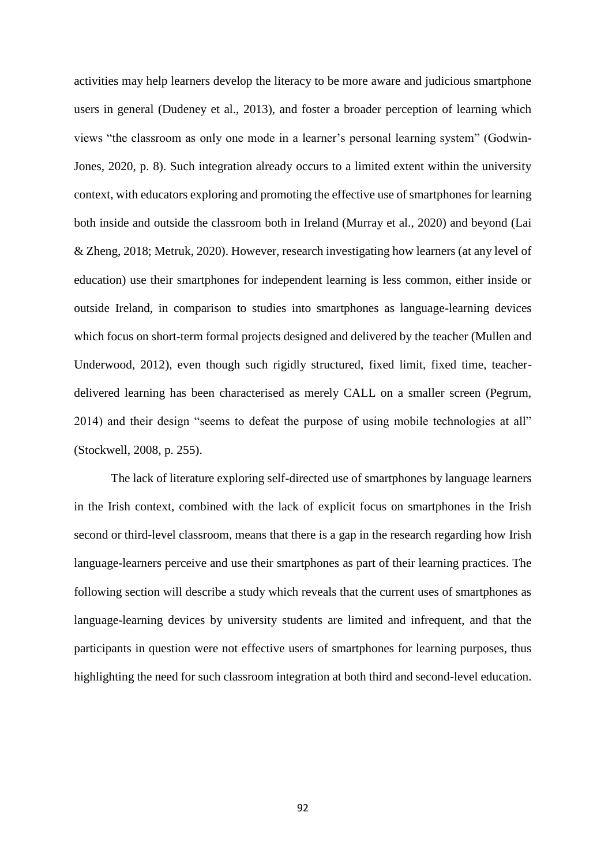activities may help learners develop the literacy to be more aware and judicious smartphone users in general (Dudeney et al., 2013), and foster a broader perception of learning which views "the classroom as only one mode in a learner's personal learning system" (Godwin-Jones, 2020, p. 8). Such integration already occurs to a limited extent within the university context, with educators exploring and promoting the effective use of smartphones for learning both inside and outside the classroom both in Ireland (Murray et al., 2020) and beyond (Lai & Zheng, 2018; Metruk, 2020). However, research investigating how learners (at any level of education) use their smartphones for independent learning is less common, either inside or outside Ireland, in comparison to studies into smartphones as language-learning devices which focus on short-term formal projects designed and delivered by the teacher (Mullen and Underwood, 2012), even though such rigidly structured, fixed limit, fixed time, teacherdelivered learning has been characterised as merely CALL on a smaller screen (Pegrum, 2014) and their design "seems to defeat the purpose of using mobile technologies at all" (Stockwell, 2008, p. 255).

The lack of literature exploring self-directed use of smartphones by language learners in the Irish context, combined with the lack of explicit focus on smartphones in the Irish second or third-level classroom, means that there is a gap in the research regarding how Irish language-learners perceive and use their smartphones as part of their learning practices. The following section will describe a study which reveals that the current uses of smartphones as language-learning devices by university students are limited and infrequent, and that the participants in question were not effective users of smartphones for learning purposes, thus highlighting the need for such classroom integration at both third and second-level education.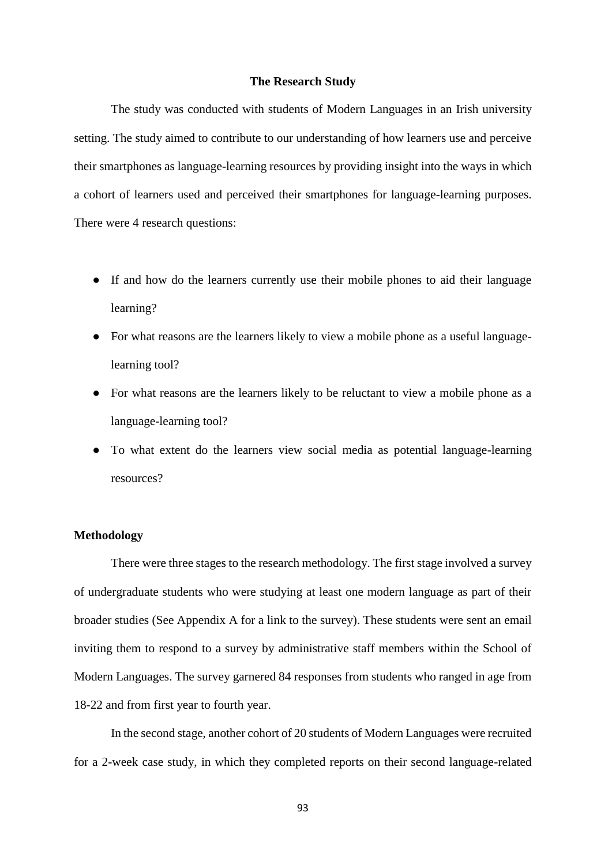#### **The Research Study**

The study was conducted with students of Modern Languages in an Irish university setting. The study aimed to contribute to our understanding of how learners use and perceive their smartphones as language-learning resources by providing insight into the ways in which a cohort of learners used and perceived their smartphones for language-learning purposes. There were 4 research questions:

- If and how do the learners currently use their mobile phones to aid their language learning?
- For what reasons are the learners likely to view a mobile phone as a useful languagelearning tool?
- For what reasons are the learners likely to be reluctant to view a mobile phone as a language-learning tool?
- To what extent do the learners view social media as potential language-learning resources?

# **Methodology**

There were three stages to the research methodology. The first stage involved a survey of undergraduate students who were studying at least one modern language as part of their broader studies (See Appendix A for a link to the survey). These students were sent an email inviting them to respond to a survey by administrative staff members within the School of Modern Languages. The survey garnered 84 responses from students who ranged in age from 18-22 and from first year to fourth year.

In the second stage, another cohort of 20 students of Modern Languages were recruited for a 2-week case study, in which they completed reports on their second language-related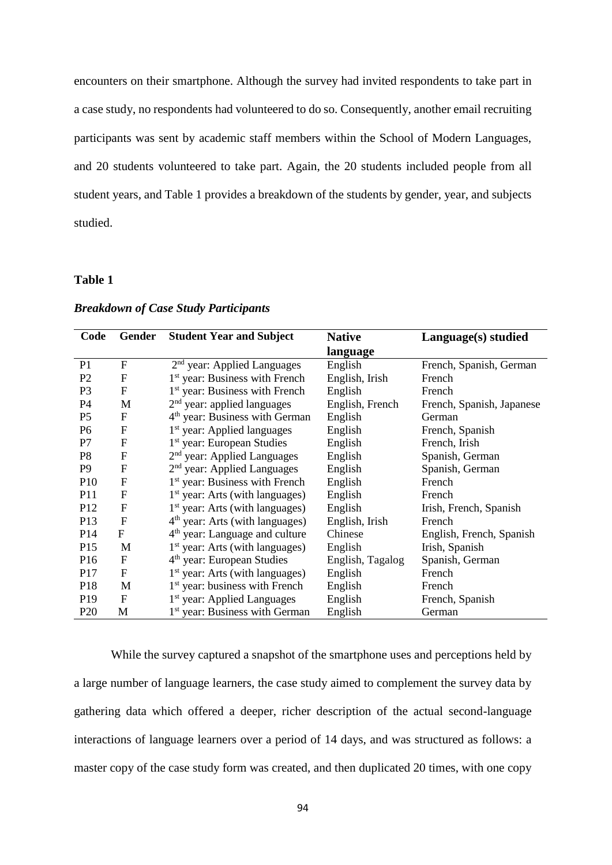encounters on their smartphone. Although the survey had invited respondents to take part in a case study, no respondents had volunteered to do so. Consequently, another email recruiting participants was sent by academic staff members within the School of Modern Languages, and 20 students volunteered to take part. Again, the 20 students included people from all student years, and Table 1 provides a breakdown of the students by gender, year, and subjects studied.

## **Table 1**

| Code            | Gender       | <b>Student Year and Subject</b>            | <b>Native</b>    | Language(s) studied       |
|-----------------|--------------|--------------------------------------------|------------------|---------------------------|
|                 |              |                                            | language         |                           |
| P <sub>1</sub>  | F            | 2 <sup>nd</sup> year: Applied Languages    | English          | French, Spanish, German   |
| P <sub>2</sub>  | F            | 1 <sup>st</sup> year: Business with French | English, Irish   | French                    |
| P <sub>3</sub>  | $\mathbf F$  | 1 <sup>st</sup> year: Business with French | English          | French                    |
| <b>P4</b>       | M            | $2nd$ year: applied languages              | English, French  | French, Spanish, Japanese |
| P <sub>5</sub>  | $\mathbf F$  | 4 <sup>th</sup> year: Business with German | English          | German                    |
| P <sub>6</sub>  | F            | 1 <sup>st</sup> year: Applied languages    | English          | French, Spanish           |
| P7              | $\mathbf F$  | 1 <sup>st</sup> year: European Studies     | English          | French, Irish             |
| P <sub>8</sub>  | $\mathbf F$  | 2 <sup>nd</sup> year: Applied Languages    | English          | Spanish, German           |
| P <sub>9</sub>  | F            | 2 <sup>nd</sup> year: Applied Languages    | English          | Spanish, German           |
| P <sub>10</sub> | $\mathbf F$  | 1 <sup>st</sup> year: Business with French | English          | French                    |
| <b>P11</b>      | $\mathbf{F}$ | $1st$ year: Arts (with languages)          | English          | French                    |
| P <sub>12</sub> | F            | $1st$ year: Arts (with languages)          | English          | Irish, French, Spanish    |
| P13             | $\mathbf{F}$ | $4th$ year: Arts (with languages)          | English, Irish   | French                    |
| P <sub>14</sub> | F            | 4 <sup>th</sup> year: Language and culture | Chinese          | English, French, Spanish  |
| P <sub>15</sub> | M            | $1st$ year: Arts (with languages)          | English          | Irish, Spanish            |
| P <sub>16</sub> | F            | 4 <sup>th</sup> year: European Studies     | English, Tagalog | Spanish, German           |
| P <sub>17</sub> | F            | $1st$ year: Arts (with languages)          | English          | French                    |
| P <sub>18</sub> | M            | 1 <sup>st</sup> year: business with French | English          | French                    |
| P <sub>19</sub> | $\mathbf F$  | 1 <sup>st</sup> year: Applied Languages    | English          | French, Spanish           |
| P <sub>20</sub> | M            | 1 <sup>st</sup> year: Business with German | English          | German                    |

# *Breakdown of Case Study Participants*

While the survey captured a snapshot of the smartphone uses and perceptions held by a large number of language learners, the case study aimed to complement the survey data by gathering data which offered a deeper, richer description of the actual second-language interactions of language learners over a period of 14 days, and was structured as follows: a master copy of the case study form was created, and then duplicated 20 times, with one copy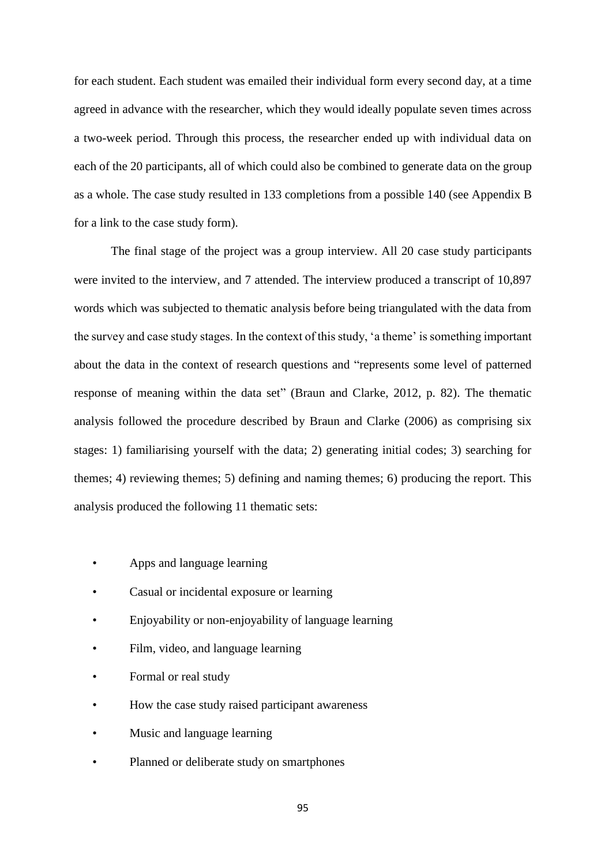for each student. Each student was emailed their individual form every second day, at a time agreed in advance with the researcher, which they would ideally populate seven times across a two-week period. Through this process, the researcher ended up with individual data on each of the 20 participants, all of which could also be combined to generate data on the group as a whole. The case study resulted in 133 completions from a possible 140 (see Appendix B for a link to the case study form).

The final stage of the project was a group interview. All 20 case study participants were invited to the interview, and 7 attended. The interview produced a transcript of 10,897 words which was subjected to thematic analysis before being triangulated with the data from the survey and case study stages. In the context of this study, 'a theme' is something important about the data in the context of research questions and "represents some level of patterned response of meaning within the data set" (Braun and Clarke, 2012, p. 82). The thematic analysis followed the procedure described by Braun and Clarke (2006) as comprising six stages: 1) familiarising yourself with the data; 2) generating initial codes; 3) searching for themes; 4) reviewing themes; 5) defining and naming themes; 6) producing the report. This analysis produced the following 11 thematic sets:

- Apps and language learning
- Casual or incidental exposure or learning
- Enjoyability or non-enjoyability of language learning
- Film, video, and language learning
- Formal or real study
- How the case study raised participant awareness
- Music and language learning
- Planned or deliberate study on smartphones

95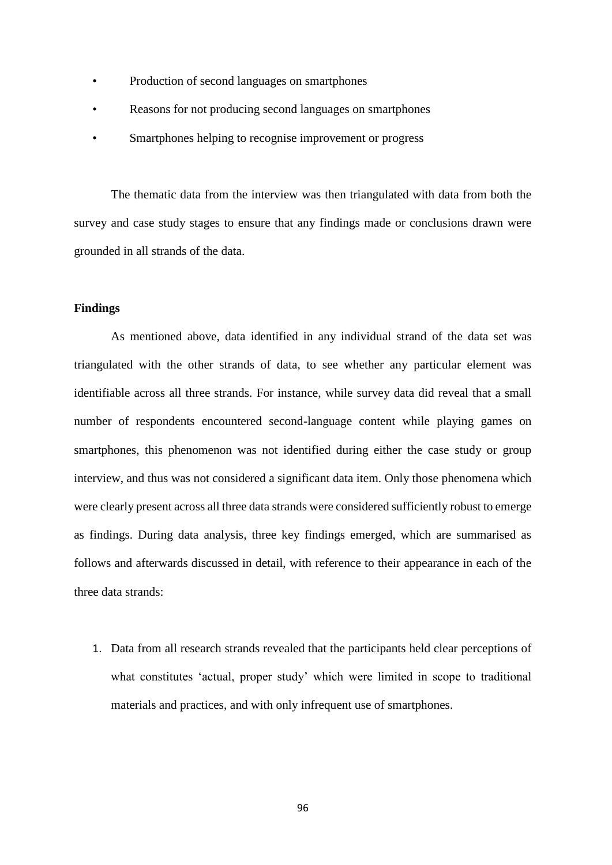- Production of second languages on smartphones
- Reasons for not producing second languages on smartphones
- Smartphones helping to recognise improvement or progress

The thematic data from the interview was then triangulated with data from both the survey and case study stages to ensure that any findings made or conclusions drawn were grounded in all strands of the data.

## **Findings**

As mentioned above, data identified in any individual strand of the data set was triangulated with the other strands of data, to see whether any particular element was identifiable across all three strands. For instance, while survey data did reveal that a small number of respondents encountered second-language content while playing games on smartphones, this phenomenon was not identified during either the case study or group interview, and thus was not considered a significant data item. Only those phenomena which were clearly present across all three data strands were considered sufficiently robust to emerge as findings. During data analysis, three key findings emerged, which are summarised as follows and afterwards discussed in detail, with reference to their appearance in each of the three data strands:

1. Data from all research strands revealed that the participants held clear perceptions of what constitutes 'actual, proper study' which were limited in scope to traditional materials and practices, and with only infrequent use of smartphones.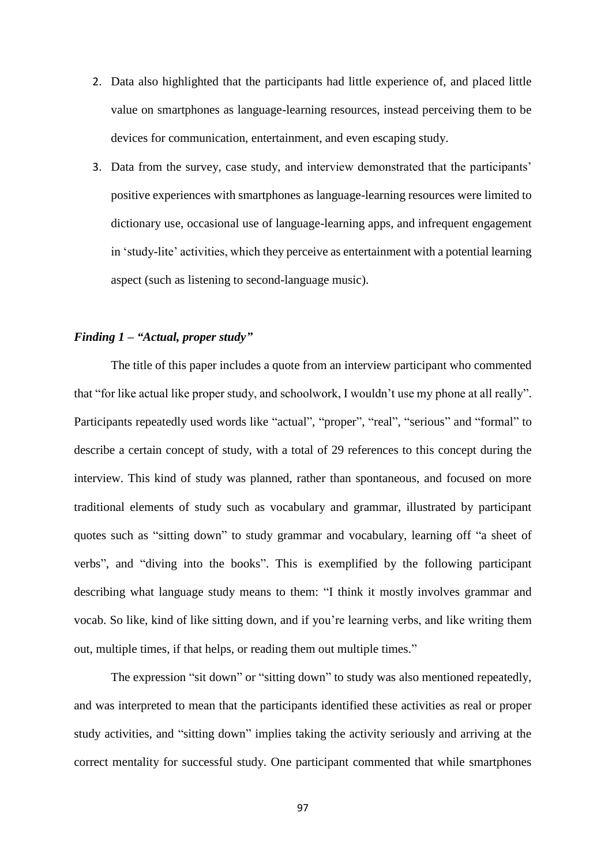- 2. Data also highlighted that the participants had little experience of, and placed little value on smartphones as language-learning resources, instead perceiving them to be devices for communication, entertainment, and even escaping study.
- 3. Data from the survey, case study, and interview demonstrated that the participants' positive experiences with smartphones as language-learning resources were limited to dictionary use, occasional use of language-learning apps, and infrequent engagement in 'study-lite' activities, which they perceive as entertainment with a potential learning aspect (such as listening to second-language music).

## *Finding 1 – "Actual, proper study"*

The title of this paper includes a quote from an interview participant who commented that "for like actual like proper study, and schoolwork, I wouldn't use my phone at all really". Participants repeatedly used words like "actual", "proper", "real", "serious" and "formal" to describe a certain concept of study, with a total of 29 references to this concept during the interview. This kind of study was planned, rather than spontaneous, and focused on more traditional elements of study such as vocabulary and grammar, illustrated by participant quotes such as "sitting down" to study grammar and vocabulary, learning off "a sheet of verbs", and "diving into the books". This is exemplified by the following participant describing what language study means to them: "I think it mostly involves grammar and vocab. So like, kind of like sitting down, and if you're learning verbs, and like writing them out, multiple times, if that helps, or reading them out multiple times."

The expression "sit down" or "sitting down" to study was also mentioned repeatedly, and was interpreted to mean that the participants identified these activities as real or proper study activities, and "sitting down" implies taking the activity seriously and arriving at the correct mentality for successful study. One participant commented that while smartphones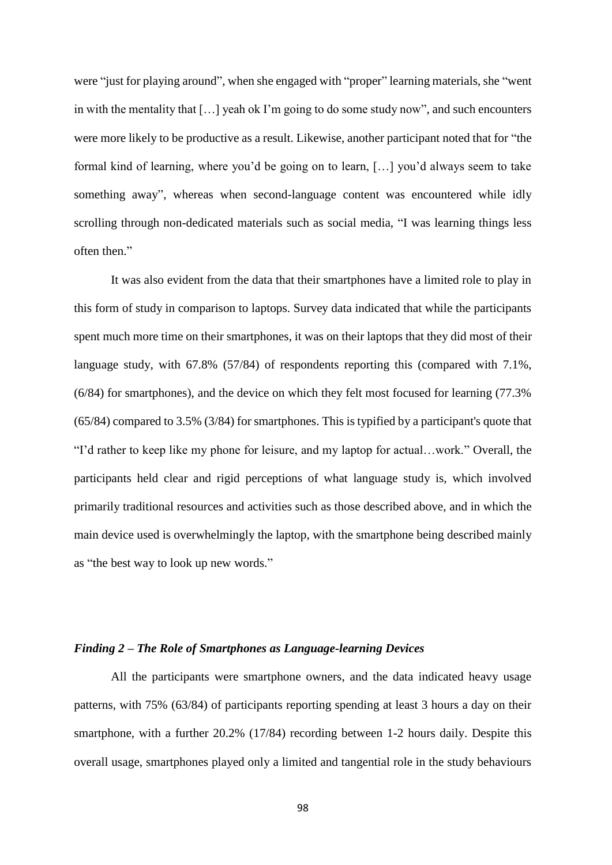were "just for playing around", when she engaged with "proper" learning materials, she "went in with the mentality that […] yeah ok I'm going to do some study now", and such encounters were more likely to be productive as a result. Likewise, another participant noted that for "the formal kind of learning, where you'd be going on to learn, […] you'd always seem to take something away", whereas when second-language content was encountered while idly scrolling through non-dedicated materials such as social media, "I was learning things less often then."

It was also evident from the data that their smartphones have a limited role to play in this form of study in comparison to laptops. Survey data indicated that while the participants spent much more time on their smartphones, it was on their laptops that they did most of their language study, with 67.8% (57/84) of respondents reporting this (compared with 7.1%, (6/84) for smartphones), and the device on which they felt most focused for learning (77.3% (65/84) compared to 3.5% (3/84) for smartphones. This is typified by a participant's quote that "I'd rather to keep like my phone for leisure, and my laptop for actual…work." Overall, the participants held clear and rigid perceptions of what language study is, which involved primarily traditional resources and activities such as those described above, and in which the main device used is overwhelmingly the laptop, with the smartphone being described mainly as "the best way to look up new words."

## *Finding 2 – The Role of Smartphones as Language-learning Devices*

All the participants were smartphone owners, and the data indicated heavy usage patterns, with 75% (63/84) of participants reporting spending at least 3 hours a day on their smartphone, with a further 20.2% (17/84) recording between 1-2 hours daily. Despite this overall usage, smartphones played only a limited and tangential role in the study behaviours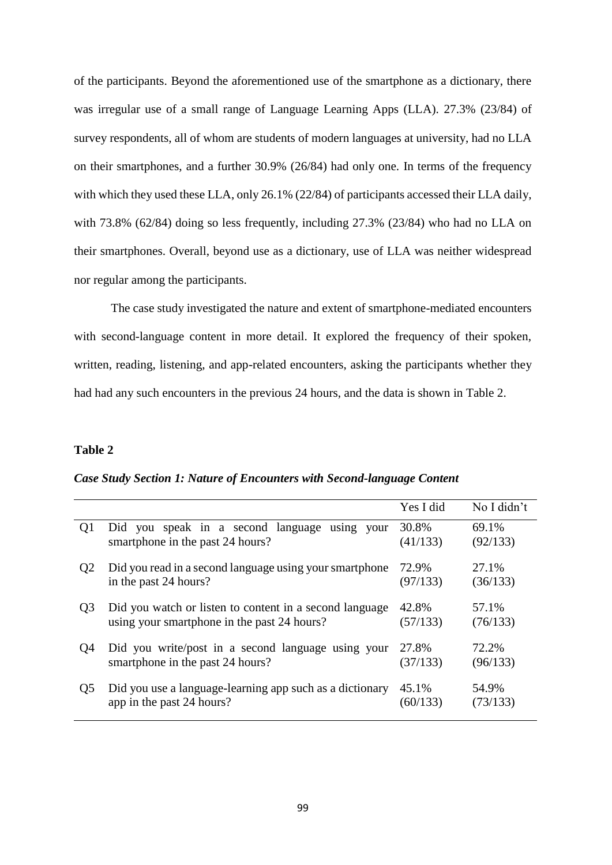of the participants. Beyond the aforementioned use of the smartphone as a dictionary, there was irregular use of a small range of Language Learning Apps (LLA). 27.3% (23/84) of survey respondents, all of whom are students of modern languages at university, had no LLA on their smartphones, and a further 30.9% (26/84) had only one. In terms of the frequency with which they used these LLA, only 26.1% (22/84) of participants accessed their LLA daily, with 73.8% (62/84) doing so less frequently, including 27.3% (23/84) who had no LLA on their smartphones. Overall, beyond use as a dictionary, use of LLA was neither widespread nor regular among the participants.

The case study investigated the nature and extent of smartphone-mediated encounters with second-language content in more detail. It explored the frequency of their spoken, written, reading, listening, and app-related encounters, asking the participants whether they had had any such encounters in the previous 24 hours, and the data is shown in Table 2.

### **Table 2**

#### *Case Study Section 1: Nature of Encounters with Second-language Content*

|                |                                                          | Yes I did | No I didn't |
|----------------|----------------------------------------------------------|-----------|-------------|
| Q1             | Did you speak in a second language using your            | 30.8%     | 69.1%       |
|                | smartphone in the past 24 hours?                         | (41/133)  | (92/133)    |
| Q <sub>2</sub> | Did you read in a second language using your smartphone  | 72.9%     | 27.1%       |
|                | in the past 24 hours?                                    | (97/133)  | (36/133)    |
| Q <sub>3</sub> | Did you watch or listen to content in a second language  | 42.8%     | 57.1%       |
|                | using your smartphone in the past 24 hours?              | (57/133)  | (76/133)    |
| Q4             | Did you write/post in a second language using your       | 27.8%     | 72.2%       |
|                | smartphone in the past 24 hours?                         | (37/133)  | (96/133)    |
| Q <sub>5</sub> | Did you use a language-learning app such as a dictionary | 45.1%     | 54.9%       |
|                | app in the past 24 hours?                                | (60/133)  | (73/133)    |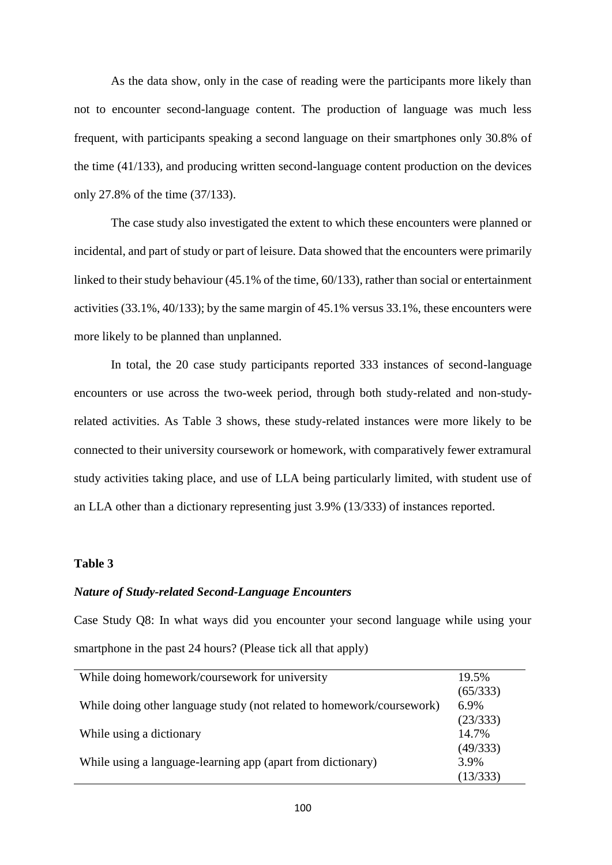As the data show, only in the case of reading were the participants more likely than not to encounter second-language content. The production of language was much less frequent, with participants speaking a second language on their smartphones only 30.8% of the time (41/133), and producing written second-language content production on the devices only 27.8% of the time (37/133).

The case study also investigated the extent to which these encounters were planned or incidental, and part of study or part of leisure. Data showed that the encounters were primarily linked to their study behaviour (45.1% of the time, 60/133), rather than social or entertainment activities (33.1%, 40/133); by the same margin of 45.1% versus 33.1%, these encounters were more likely to be planned than unplanned.

In total, the 20 case study participants reported 333 instances of second-language encounters or use across the two-week period, through both study-related and non-studyrelated activities. As Table 3 shows, these study-related instances were more likely to be connected to their university coursework or homework, with comparatively fewer extramural study activities taking place, and use of LLA being particularly limited, with student use of an LLA other than a dictionary representing just 3.9% (13/333) of instances reported.

## **Table 3**

## *Nature of Study-related Second-Language Encounters*

Case Study Q8: In what ways did you encounter your second language while using your smartphone in the past 24 hours? (Please tick all that apply)

| While doing homework/coursework for university                        | 19.5%    |
|-----------------------------------------------------------------------|----------|
|                                                                       | (65/333) |
| While doing other language study (not related to homework/coursework) | 6.9%     |
|                                                                       | (23/333) |
| While using a dictionary                                              | 14.7%    |
|                                                                       | (49/333) |
| While using a language-learning app (apart from dictionary)           | 3.9%     |
|                                                                       | (13/333) |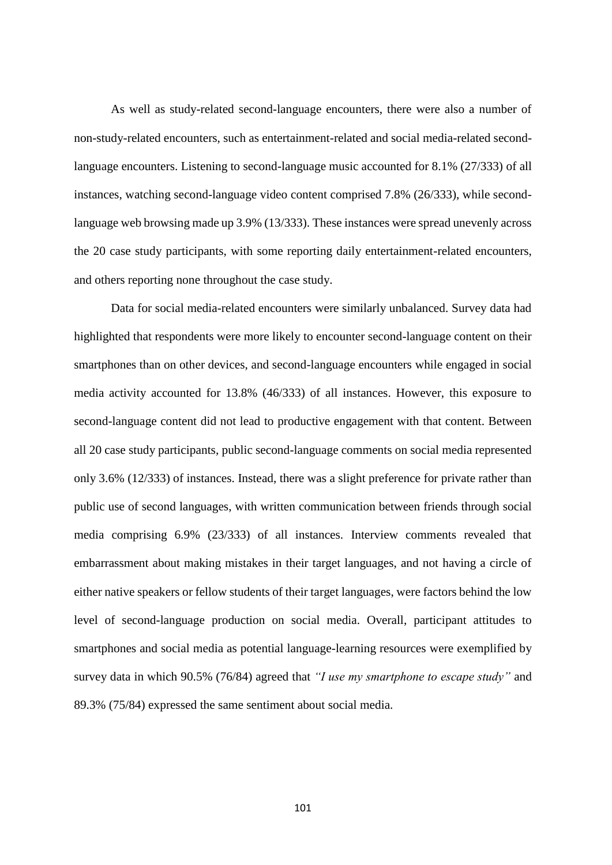As well as study-related second-language encounters, there were also a number of non-study-related encounters, such as entertainment-related and social media-related secondlanguage encounters. Listening to second-language music accounted for 8.1% (27/333) of all instances, watching second-language video content comprised 7.8% (26/333), while secondlanguage web browsing made up 3.9% (13/333). These instances were spread unevenly across the 20 case study participants, with some reporting daily entertainment-related encounters, and others reporting none throughout the case study.

Data for social media-related encounters were similarly unbalanced. Survey data had highlighted that respondents were more likely to encounter second-language content on their smartphones than on other devices, and second-language encounters while engaged in social media activity accounted for 13.8% (46/333) of all instances. However, this exposure to second-language content did not lead to productive engagement with that content. Between all 20 case study participants, public second-language comments on social media represented only 3.6% (12/333) of instances. Instead, there was a slight preference for private rather than public use of second languages, with written communication between friends through social media comprising 6.9% (23/333) of all instances. Interview comments revealed that embarrassment about making mistakes in their target languages, and not having a circle of either native speakers or fellow students of their target languages, were factors behind the low level of second-language production on social media. Overall, participant attitudes to smartphones and social media as potential language-learning resources were exemplified by survey data in which 90.5% (76/84) agreed that *"I use my smartphone to escape study"* and 89.3% (75/84) expressed the same sentiment about social media.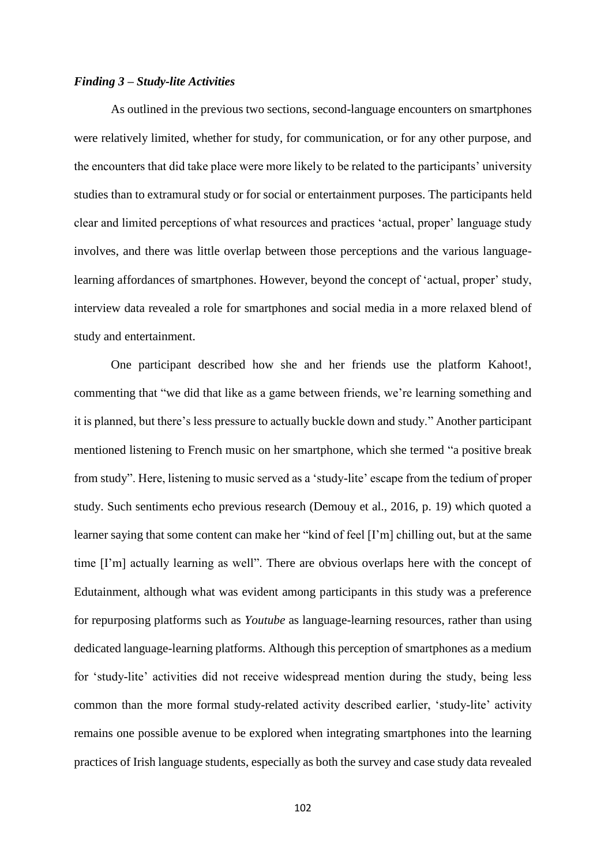## *Finding 3 – Study-lite Activities*

As outlined in the previous two sections, second-language encounters on smartphones were relatively limited, whether for study, for communication, or for any other purpose, and the encounters that did take place were more likely to be related to the participants' university studies than to extramural study or for social or entertainment purposes. The participants held clear and limited perceptions of what resources and practices 'actual, proper' language study involves, and there was little overlap between those perceptions and the various languagelearning affordances of smartphones. However, beyond the concept of 'actual, proper' study, interview data revealed a role for smartphones and social media in a more relaxed blend of study and entertainment.

One participant described how she and her friends use the platform Kahoot!, commenting that "we did that like as a game between friends, we're learning something and it is planned, but there's less pressure to actually buckle down and study." Another participant mentioned listening to French music on her smartphone, which she termed "a positive break from study". Here, listening to music served as a 'study-lite' escape from the tedium of proper study. Such sentiments echo previous research (Demouy et al., 2016, p. 19) which quoted a learner saying that some content can make her "kind of feel [I'm] chilling out, but at the same time [I'm] actually learning as well". There are obvious overlaps here with the concept of Edutainment, although what was evident among participants in this study was a preference for repurposing platforms such as *Youtube* as language-learning resources, rather than using dedicated language-learning platforms. Although this perception of smartphones as a medium for 'study-lite' activities did not receive widespread mention during the study, being less common than the more formal study-related activity described earlier, 'study-lite' activity remains one possible avenue to be explored when integrating smartphones into the learning practices of Irish language students, especially as both the survey and case study data revealed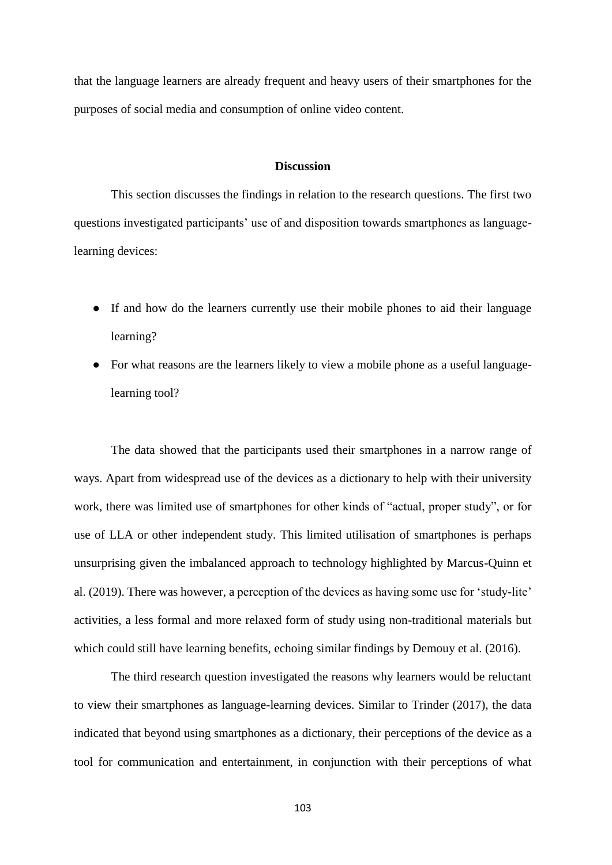that the language learners are already frequent and heavy users of their smartphones for the purposes of social media and consumption of online video content.

## **Discussion**

This section discusses the findings in relation to the research questions. The first two questions investigated participants' use of and disposition towards smartphones as languagelearning devices:

- If and how do the learners currently use their mobile phones to aid their language learning?
- For what reasons are the learners likely to view a mobile phone as a useful languagelearning tool?

The data showed that the participants used their smartphones in a narrow range of ways. Apart from widespread use of the devices as a dictionary to help with their university work, there was limited use of smartphones for other kinds of "actual, proper study", or for use of LLA or other independent study. This limited utilisation of smartphones is perhaps unsurprising given the imbalanced approach to technology highlighted by Marcus-Quinn et al. (2019). There was however, a perception of the devices as having some use for 'study-lite' activities, a less formal and more relaxed form of study using non-traditional materials but which could still have learning benefits, echoing similar findings by Demouy et al. (2016).

The third research question investigated the reasons why learners would be reluctant to view their smartphones as language-learning devices. Similar to Trinder (2017), the data indicated that beyond using smartphones as a dictionary, their perceptions of the device as a tool for communication and entertainment, in conjunction with their perceptions of what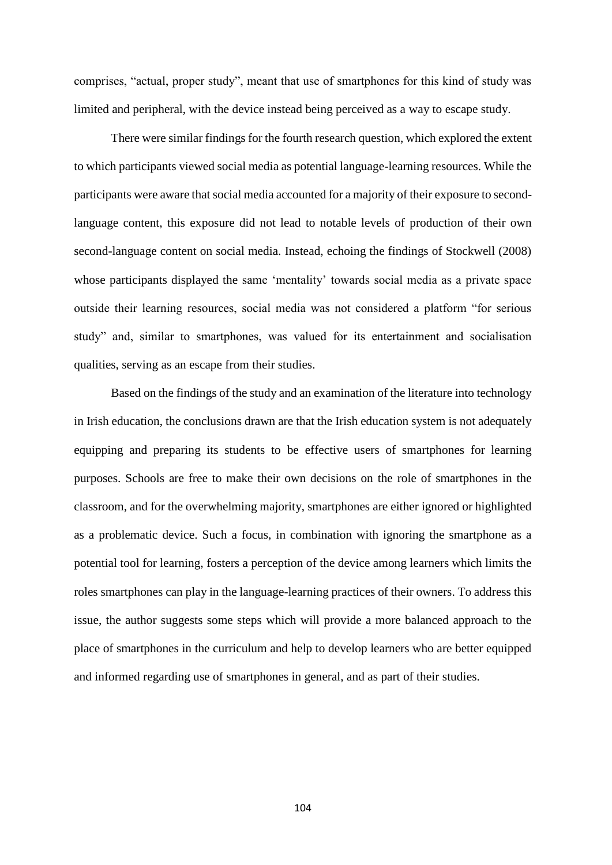comprises, "actual, proper study", meant that use of smartphones for this kind of study was limited and peripheral, with the device instead being perceived as a way to escape study.

There were similar findings for the fourth research question, which explored the extent to which participants viewed social media as potential language-learning resources. While the participants were aware that social media accounted for a majority of their exposure to secondlanguage content, this exposure did not lead to notable levels of production of their own second-language content on social media. Instead, echoing the findings of Stockwell (2008) whose participants displayed the same 'mentality' towards social media as a private space outside their learning resources, social media was not considered a platform "for serious study" and, similar to smartphones, was valued for its entertainment and socialisation qualities, serving as an escape from their studies.

Based on the findings of the study and an examination of the literature into technology in Irish education, the conclusions drawn are that the Irish education system is not adequately equipping and preparing its students to be effective users of smartphones for learning purposes. Schools are free to make their own decisions on the role of smartphones in the classroom, and for the overwhelming majority, smartphones are either ignored or highlighted as a problematic device. Such a focus, in combination with ignoring the smartphone as a potential tool for learning, fosters a perception of the device among learners which limits the roles smartphones can play in the language-learning practices of their owners. To address this issue, the author suggests some steps which will provide a more balanced approach to the place of smartphones in the curriculum and help to develop learners who are better equipped and informed regarding use of smartphones in general, and as part of their studies.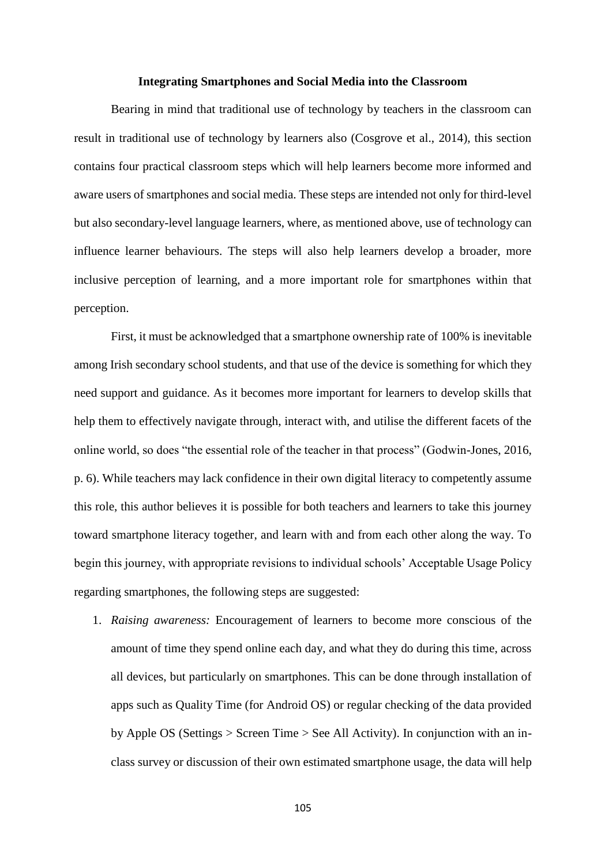#### **Integrating Smartphones and Social Media into the Classroom**

Bearing in mind that traditional use of technology by teachers in the classroom can result in traditional use of technology by learners also (Cosgrove et al., 2014), this section contains four practical classroom steps which will help learners become more informed and aware users of smartphones and social media. These steps are intended not only for third-level but also secondary-level language learners, where, as mentioned above, use of technology can influence learner behaviours. The steps will also help learners develop a broader, more inclusive perception of learning, and a more important role for smartphones within that perception.

First, it must be acknowledged that a smartphone ownership rate of 100% is inevitable among Irish secondary school students, and that use of the device is something for which they need support and guidance. As it becomes more important for learners to develop skills that help them to effectively navigate through, interact with, and utilise the different facets of the online world, so does "the essential role of the teacher in that process" (Godwin-Jones, 2016, p. 6). While teachers may lack confidence in their own digital literacy to competently assume this role, this author believes it is possible for both teachers and learners to take this journey toward smartphone literacy together, and learn with and from each other along the way. To begin this journey, with appropriate revisions to individual schools' Acceptable Usage Policy regarding smartphones, the following steps are suggested:

1. *Raising awareness:* Encouragement of learners to become more conscious of the amount of time they spend online each day, and what they do during this time, across all devices, but particularly on smartphones. This can be done through installation of apps such as Quality Time (for Android OS) or regular checking of the data provided by Apple OS (Settings > Screen Time > See All Activity). In conjunction with an inclass survey or discussion of their own estimated smartphone usage, the data will help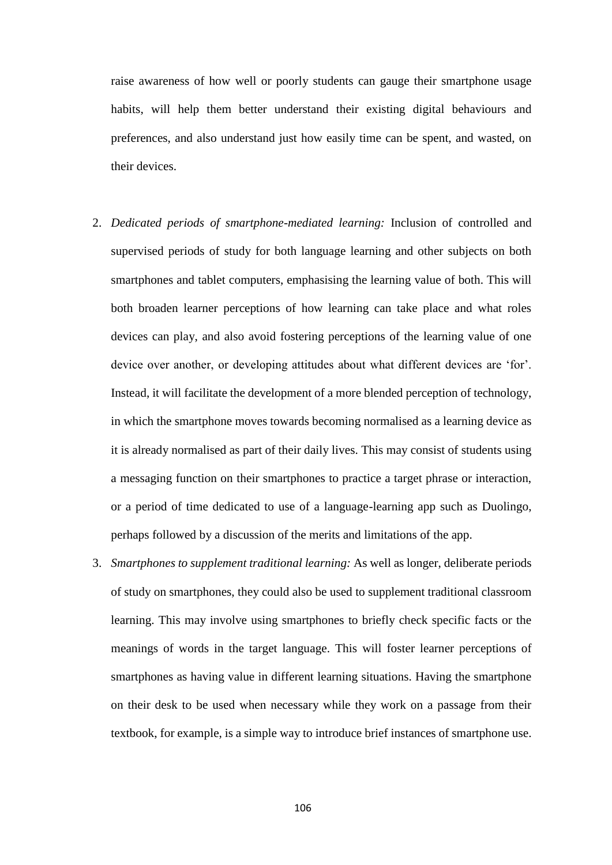raise awareness of how well or poorly students can gauge their smartphone usage habits, will help them better understand their existing digital behaviours and preferences, and also understand just how easily time can be spent, and wasted, on their devices.

- 2. *Dedicated periods of smartphone-mediated learning:* Inclusion of controlled and supervised periods of study for both language learning and other subjects on both smartphones and tablet computers, emphasising the learning value of both. This will both broaden learner perceptions of how learning can take place and what roles devices can play, and also avoid fostering perceptions of the learning value of one device over another, or developing attitudes about what different devices are 'for'. Instead, it will facilitate the development of a more blended perception of technology, in which the smartphone moves towards becoming normalised as a learning device as it is already normalised as part of their daily lives. This may consist of students using a messaging function on their smartphones to practice a target phrase or interaction, or a period of time dedicated to use of a language-learning app such as Duolingo, perhaps followed by a discussion of the merits and limitations of the app.
- 3. *Smartphones to supplement traditional learning:* As well as longer, deliberate periods of study on smartphones, they could also be used to supplement traditional classroom learning. This may involve using smartphones to briefly check specific facts or the meanings of words in the target language. This will foster learner perceptions of smartphones as having value in different learning situations. Having the smartphone on their desk to be used when necessary while they work on a passage from their textbook, for example, is a simple way to introduce brief instances of smartphone use.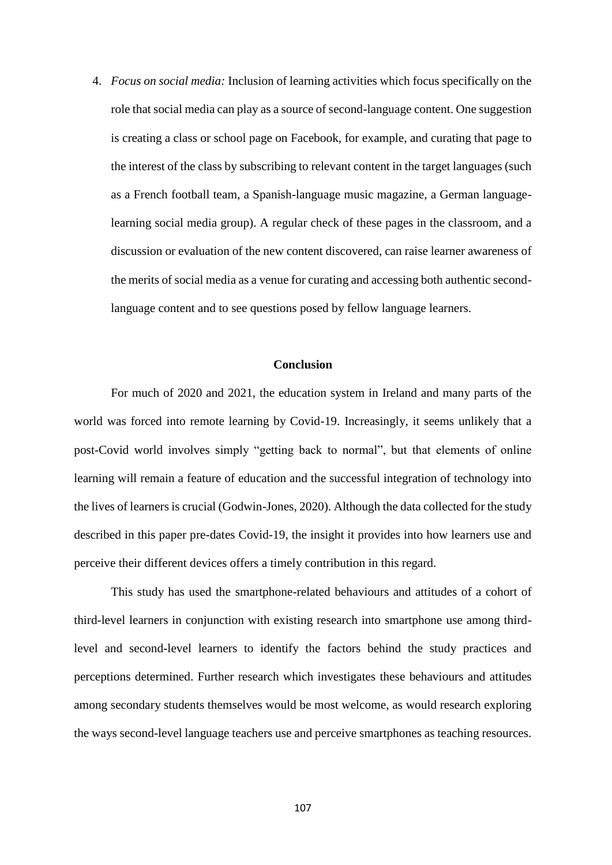4. *Focus on social media:* Inclusion of learning activities which focus specifically on the role that social media can play as a source of second-language content. One suggestion is creating a class or school page on Facebook, for example, and curating that page to the interest of the class by subscribing to relevant content in the target languages (such as a French football team, a Spanish-language music magazine, a German languagelearning social media group). A regular check of these pages in the classroom, and a discussion or evaluation of the new content discovered, can raise learner awareness of the merits of social media as a venue for curating and accessing both authentic secondlanguage content and to see questions posed by fellow language learners.

## **Conclusion**

For much of 2020 and 2021, the education system in Ireland and many parts of the world was forced into remote learning by Covid-19. Increasingly, it seems unlikely that a post-Covid world involves simply "getting back to normal", but that elements of online learning will remain a feature of education and the successful integration of technology into the lives of learners is crucial (Godwin-Jones, 2020). Although the data collected for the study described in this paper pre-dates Covid-19, the insight it provides into how learners use and perceive their different devices offers a timely contribution in this regard.

This study has used the smartphone-related behaviours and attitudes of a cohort of third-level learners in conjunction with existing research into smartphone use among thirdlevel and second-level learners to identify the factors behind the study practices and perceptions determined. Further research which investigates these behaviours and attitudes among secondary students themselves would be most welcome, as would research exploring the ways second-level language teachers use and perceive smartphones as teaching resources.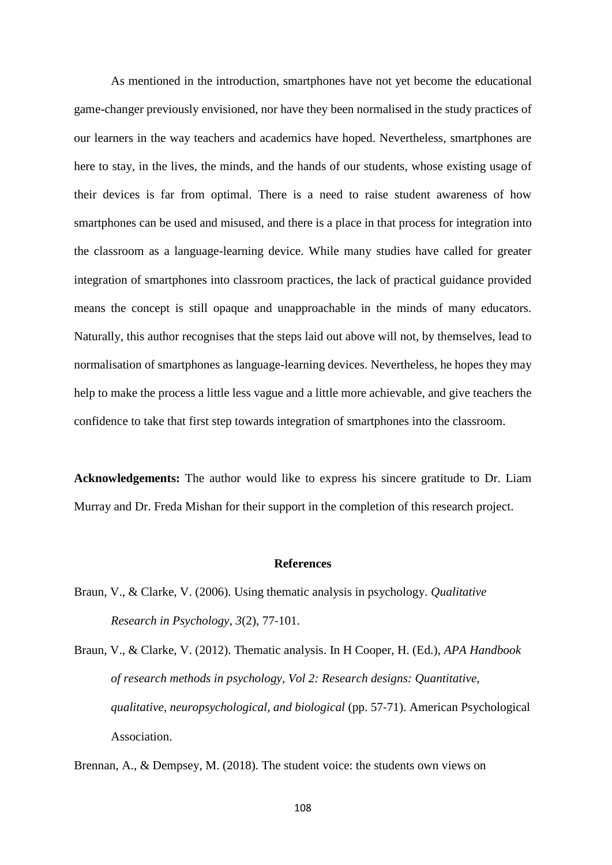As mentioned in the introduction, smartphones have not yet become the educational game-changer previously envisioned, nor have they been normalised in the study practices of our learners in the way teachers and academics have hoped. Nevertheless, smartphones are here to stay, in the lives, the minds, and the hands of our students, whose existing usage of their devices is far from optimal. There is a need to raise student awareness of how smartphones can be used and misused, and there is a place in that process for integration into the classroom as a language-learning device. While many studies have called for greater integration of smartphones into classroom practices, the lack of practical guidance provided means the concept is still opaque and unapproachable in the minds of many educators. Naturally, this author recognises that the steps laid out above will not, by themselves, lead to normalisation of smartphones as language-learning devices. Nevertheless, he hopes they may help to make the process a little less vague and a little more achievable, and give teachers the confidence to take that first step towards integration of smartphones into the classroom.

**Acknowledgements:** The author would like to express his sincere gratitude to Dr. Liam Murray and Dr. Freda Mishan for their support in the completion of this research project.

#### **References**

- Braun, V., & Clarke, V. (2006). Using thematic analysis in psychology. *Qualitative Research in Psychology*, *3*(2), 77-101.
- Braun, V., & Clarke, V. (2012). Thematic analysis. In H Cooper, H. (Ed.), *APA Handbook of research methods in psychology, Vol 2: Research designs: Quantitative, qualitative, neuropsychological, and biological* (pp. 57-71). American Psychological Association.

Brennan, A., & Dempsey, M. (2018). The student voice: the students own views on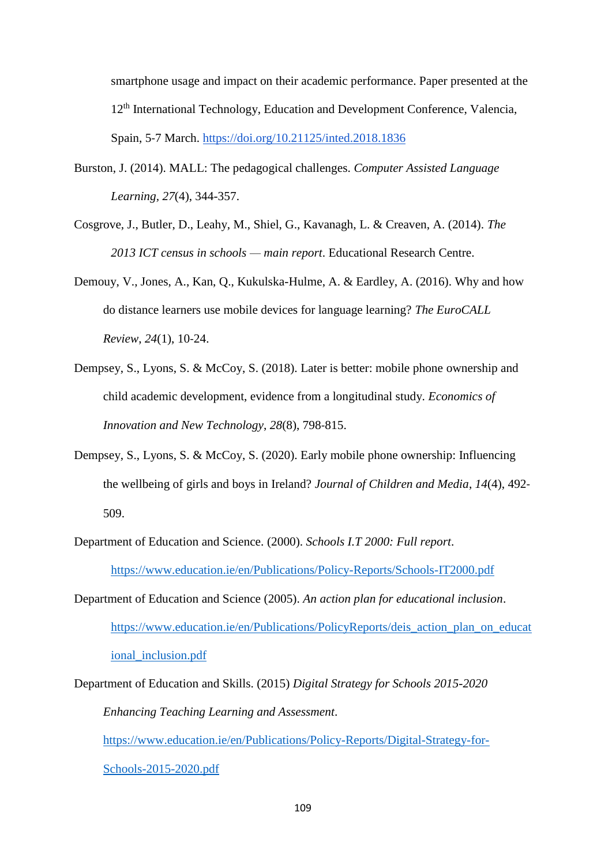smartphone usage and impact on their academic performance. Paper presented at the 12<sup>th</sup> International Technology, Education and Development Conference, Valencia, Spain, 5-7 March.<https://doi.org/10.21125/inted.2018.1836>

- Burston, J. (2014). MALL: The pedagogical challenges. *Computer Assisted Language Learning, 27*(4), 344-357.
- Cosgrove, J., Butler, D., Leahy, M., Shiel, G., Kavanagh, L. & Creaven, A. (2014). *The 2013 ICT census in schools — main report*. Educational Research Centre.
- Demouy, V., Jones, A., Kan, Q., Kukulska-Hulme, A. & Eardley, A. (2016). Why and how do distance learners use mobile devices for language learning? *The EuroCALL Review*, *24*(1), 10-24.
- Dempsey, S., Lyons, S. & McCoy, S. (2018). Later is better: mobile phone ownership and child academic development, evidence from a longitudinal study. *Economics of Innovation and New Technology*, *28*(8), 798-815.
- Dempsey, S., Lyons, S. & McCoy, S. (2020). Early mobile phone ownership: Influencing the wellbeing of girls and boys in Ireland? *Journal of Children and Media*, *14*(4), 492- 509.
- Department of Education and Science. (2000). *Schools I.T 2000: Full report*. <https://www.education.ie/en/Publications/Policy-Reports/Schools-IT2000.pdf>
- Department of Education and Science (2005). *An action plan for educational inclusion*. [https://www.education.ie/en/Publications/PolicyReports/deis\\_action\\_plan\\_on\\_educat](https://www.education.ie/en/Publications/PolicyReports/deis_action_plan_on_educational_inclusion.pdf) [ional\\_inclusion.pdf](https://www.education.ie/en/Publications/PolicyReports/deis_action_plan_on_educational_inclusion.pdf)
- Department of Education and Skills. (2015) *Digital Strategy for Schools 2015-2020 Enhancing Teaching Learning and Assessment*. [https://www.education.ie/en/Publications/Policy-Reports/Digital-Strategy-for-](https://www.education.ie/en/Publications/Policy-Reports/Digital-Strategy-for-Schools-2015-2020.pdf)[Schools-2015-2020.pdf](https://www.education.ie/en/Publications/Policy-Reports/Digital-Strategy-for-Schools-2015-2020.pdf)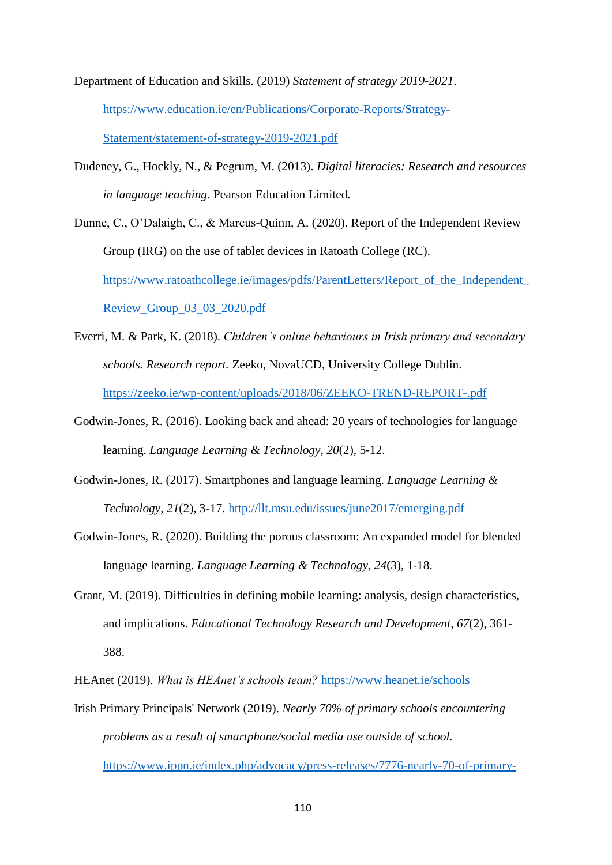Department of Education and Skills. (2019) *Statement of strategy 2019-2021*. [https://www.education.ie/en/Publications/Corporate-Reports/Strategy-](https://www.education.ie/en/Publications/Corporate-Reports/Strategy-Statement/statement-of-strategy-2019-2021.pdf)[Statement/statement-of-strategy-2019-2021.pdf](https://www.education.ie/en/Publications/Corporate-Reports/Strategy-Statement/statement-of-strategy-2019-2021.pdf)

Dudeney, G., Hockly, N., & Pegrum, M. (2013). *Digital literacies: Research and resources in language teaching*. Pearson Education Limited.

Dunne, C., O'Dalaigh, C., & Marcus-Quinn, A. (2020). Report of the Independent Review Group (IRG) on the use of tablet devices in Ratoath College (RC). https://www.ratoathcollege.ie/images/pdfs/ParentLetters/Report\_of\_the\_Independent [Review\\_Group\\_03\\_03\\_2020.pdf](https://www.ratoathcollege.ie/images/pdfs/ParentLetters/Report_of_the_Independent_Review_Group_03_03_2020.pdf)

- Everri, M. & Park, K. (2018). *Children's online behaviours in Irish primary and secondary schools. Research report.* Zeeko, NovaUCD, University College Dublin. <https://zeeko.ie/wp-content/uploads/2018/06/ZEEKO-TREND-REPORT-.pdf>
- Godwin-Jones, R. (2016). Looking back and ahead: 20 years of technologies for language learning. *Language Learning & Technology, 20*(2), 5-12.
- Godwin-Jones, R. (2017). Smartphones and language learning. *Language Learning & Technology*, *21*(2), 3-17.<http://llt.msu.edu/issues/june2017/emerging.pdf>
- Godwin-Jones, R. (2020). Building the porous classroom: An expanded model for blended language learning. *Language Learning & Technology*, *24*(3), 1-18.
- Grant, M. (2019). Difficulties in defining mobile learning: analysis, design characteristics, and implications. *Educational Technology Research and Development*, *67*(2), 361- 388.
- HEAnet (2019). *What is HEAnet's schools team?* <https://www.heanet.ie/schools>
- Irish Primary Principals' Network (2019). *Nearly 70% of primary schools encountering problems as a result of smartphone/social media use outside of school.* [https://www.ippn.ie/index.php/advocacy/press-releases/7776-nearly-70-of-primary-](https://www.ippn.ie/index.php/advocacy/press-releases/7776-nearly-70-of-primary-schools-encountering-problems-as-a-result-of-smartphone-social-media-use-outside-of-school)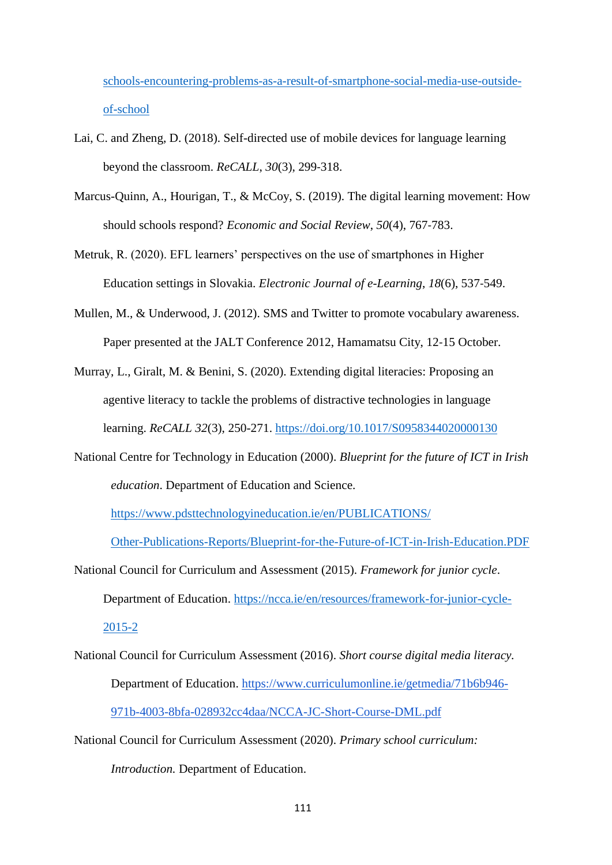[schools-encountering-problems-as-a-result-of-smartphone-social-media-use-outside](https://www.ippn.ie/index.php/advocacy/press-releases/7776-nearly-70-of-primary-schools-encountering-problems-as-a-result-of-smartphone-social-media-use-outside-of-school)[of-school](https://www.ippn.ie/index.php/advocacy/press-releases/7776-nearly-70-of-primary-schools-encountering-problems-as-a-result-of-smartphone-social-media-use-outside-of-school)

- Lai, C. and Zheng, D. (2018). Self-directed use of mobile devices for language learning beyond the classroom. *ReCALL*, *30*(3), 299-318.
- Marcus-Quinn, A., Hourigan, T., & McCoy, S. (2019). The digital learning movement: How should schools respond? *Economic and Social Review*, *50*(4), 767-783.
- Metruk, R. (2020). EFL learners' perspectives on the use of smartphones in Higher Education settings in Slovakia. *Electronic Journal of e-Learning*, *18*(6), 537-549.
- Mullen, M., & Underwood, J. (2012). SMS and Twitter to promote vocabulary awareness. Paper presented at the JALT Conference 2012, Hamamatsu City, 12-15 October.
- Murray, L., Giralt, M. & Benini, S. (2020). Extending digital literacies: Proposing an agentive literacy to tackle the problems of distractive technologies in language learning. *ReCALL 32*(3), 250-271.<https://doi.org/10.1017/S0958344020000130>
- National Centre for Technology in Education (2000). *Blueprint for the future of ICT in Irish education*. Department of Education and Science.

[https://www.pdsttechnologyineducation.ie/en/PUBLICATIONS/](https://www.pdsttechnologyineducation.ie/en/PUBLICATIONS/Other-Publications-Reports/Blueprint-for-the-Future-of-ICT-in-Irish-Education.PDF)

[Other-Publications-Reports/Blueprint-for-the-Future-of-ICT-in-Irish-Education.PDF](https://www.pdsttechnologyineducation.ie/en/PUBLICATIONS/Other-Publications-Reports/Blueprint-for-the-Future-of-ICT-in-Irish-Education.PDF)

- National Council for Curriculum and Assessment (2015). *Framework for junior cycle*. Department of Education. [https://ncca.ie/en/resources/framework-for-junior-cycle-](https://ncca.ie/en/resources/framework-for-junior-cycle-2015-2)[2015-2](https://ncca.ie/en/resources/framework-for-junior-cycle-2015-2)
- National Council for Curriculum Assessment (2016). *Short course digital media literacy.*  Department of Education. [https://www.curriculumonline.ie/getmedia/71b6b946-](https://www.curriculumonline.ie/getmedia/71b6b946-971b-4003-8bfa-028932cc4daa/NCCA-JC-Short-Course-DML.pdf) [971b-4003-8bfa-028932cc4daa/NCCA-JC-Short-Course-DML.pdf](https://www.curriculumonline.ie/getmedia/71b6b946-971b-4003-8bfa-028932cc4daa/NCCA-JC-Short-Course-DML.pdf)
- National Council for Curriculum Assessment (2020). *Primary school curriculum: Introduction.* Department of Education.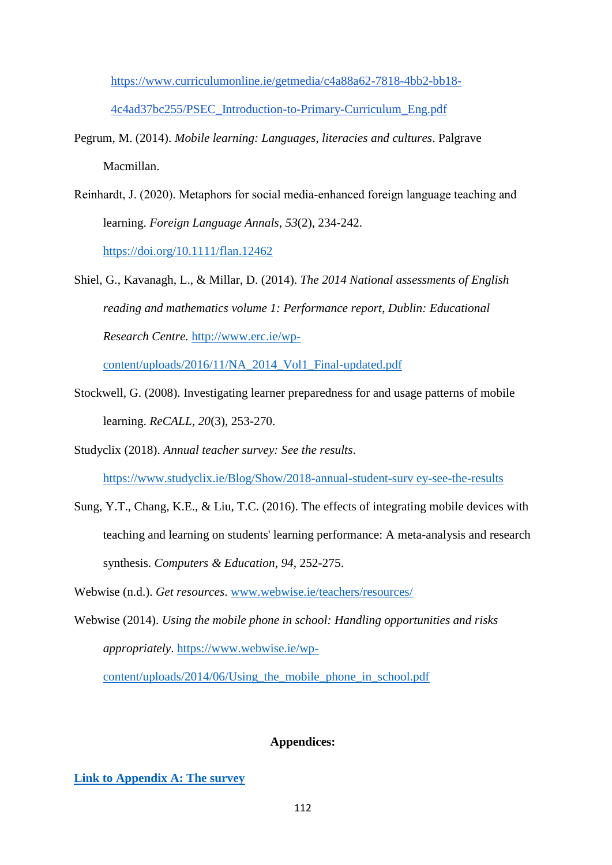[https://www.curriculumonline.ie/getmedia/c4a88a62-7818-4bb2-bb18-](https://www.curriculumonline.ie/getmedia/c4a88a62-7818-4bb2-bb18-4c4ad37bc255/PSEC_Introduction-to-Primary-Curriculum_Eng.pdf) [4c4ad37bc255/PSEC\\_Introduction-to-Primary-Curriculum\\_Eng.pdf](https://www.curriculumonline.ie/getmedia/c4a88a62-7818-4bb2-bb18-4c4ad37bc255/PSEC_Introduction-to-Primary-Curriculum_Eng.pdf)

- Pegrum, M. (2014). *Mobile learning: Languages, literacies and cultures*. Palgrave Macmillan.
- Reinhardt, J. (2020). Metaphors for social media‐enhanced foreign language teaching and learning. *Foreign Language Annals*, *53*(2), 234-242. <https://doi.org/10.1111/flan.12462>
- Shiel, G., Kavanagh, L., & Millar, D. (2014). *The 2014 National assessments of English reading and mathematics volume 1: Performance report*, *Dublin: Educational Research Centre.* [http://www.erc.ie/wp-](http://www.erc.ie/wp-content/uploads/2016/11/NA_2014_Vol1_Final-updated.pdf)

[content/uploads/2016/11/NA\\_2014\\_Vol1\\_Final-updated.pdf](http://www.erc.ie/wp-content/uploads/2016/11/NA_2014_Vol1_Final-updated.pdf)

- Stockwell, G. (2008). Investigating learner preparedness for and usage patterns of mobile learning. *ReCALL, 20*(3), 253-270.
- Studyclix (2018). *Annual teacher survey: See the results*. [https://www.studyclix.ie/Blog/Show/2018-annual-student-surv ey-see-the-results](https://www.studyclix.ie/Blog/Show/2018-annual-student-surv%20ey-see-the-results)
- Sung, Y.T., Chang, K.E., & Liu, T.C. (2016). The effects of integrating mobile devices with teaching and learning on students' learning performance: A meta-analysis and research synthesis. *Computers & Education*, *94*, 252-275.
- Webwise (n.d.). *Get resources*. [www.webwise.ie/teachers/resources/](http://www.webwise.ie/teachers/resources/)
- Webwise (2014). *Using the mobile phone in school: Handling opportunities and risks appropriately*. [https://www.webwise.ie/wp-](https://www.webwise.ie/wp-content/uploads/2014/06/Using_the_mobile_phone_in_school.pdf)

[content/uploads/2014/06/Using\\_the\\_mobile\\_phone\\_in\\_school.pdf](https://www.webwise.ie/wp-content/uploads/2014/06/Using_the_mobile_phone_in_school.pdf)

# **Appendices:**

# **[Link to Appendix A: The survey](https://docs.google.com/document/d/17hMze1qjUblS9v3dX7EBFq2G8xhIfQPM/edit?usp=sharing&ouid=106776862598740960626&rtpof=true&sd=true)**